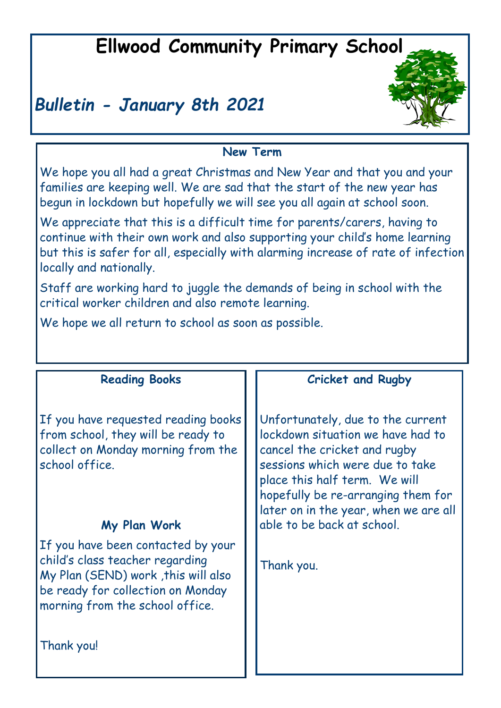# **Ellwood Community Primary School**

# *Bulletin - January 8th 2021*



# **New Term**

We hope you all had a great Christmas and New Year and that you and your families are keeping well. We are sad that the start of the new year has begun in lockdown but hopefully we will see you all again at school soon.

We appreciate that this is a difficult time for parents/carers, having to continue with their own work and also supporting your child's home learning but this is safer for all, especially with alarming increase of rate of infection locally and nationally.

Staff are working hard to juggle the demands of being in school with the critical worker children and also remote learning.

We hope we all return to school as soon as possible.

| <b>Reading Books</b>                                                                                                                                                                               | <b>Cricket and Rugby</b>                                                                                                                                                                                                                                  |  |
|----------------------------------------------------------------------------------------------------------------------------------------------------------------------------------------------------|-----------------------------------------------------------------------------------------------------------------------------------------------------------------------------------------------------------------------------------------------------------|--|
| If you have requested reading books<br>from school, they will be ready to<br>collect on Monday morning from the<br>school office.                                                                  | Unfortunately, due to the current<br>lockdown situation we have had to<br>cancel the cricket and rugby<br>sessions which were due to take<br>place this half term. We will<br>hopefully be re-arranging them for<br>later on in the year, when we are all |  |
| My Plan Work                                                                                                                                                                                       | able to be back at school.                                                                                                                                                                                                                                |  |
| If you have been contacted by your<br>child's class teacher regarding<br>My Plan (SEND) work, this will also<br>be ready for collection on Monday<br>morning from the school office.<br>Thank you! | Thank you.                                                                                                                                                                                                                                                |  |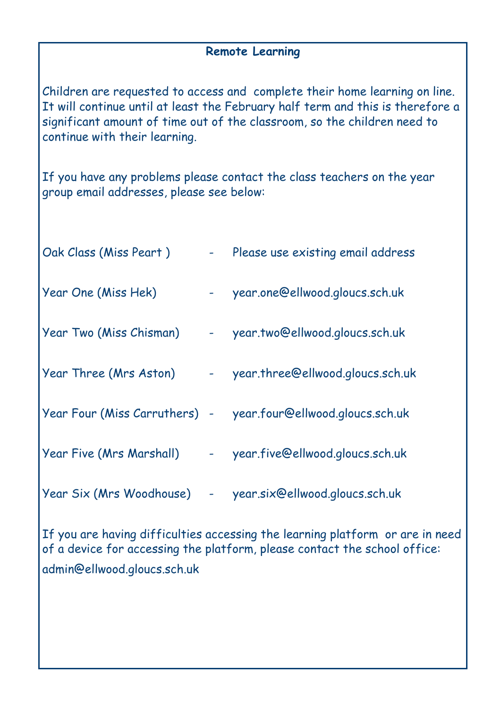### **Remote Learning**

Children are requested to access and complete their home learning on line. It will continue until at least the February half term and this is therefore a significant amount of time out of the classroom, so the children need to continue with their learning.

If you have any problems please contact the class teachers on the year group email addresses, please see below:

| Oak Class (Miss Peart)        |                                 | Please use existing email address |
|-------------------------------|---------------------------------|-----------------------------------|
| Year One (Miss Hek)           |                                 | year.one@ellwood.gloucs.sch.uk    |
| Year Two (Miss Chisman)       | $\frac{1}{2}$ and $\frac{1}{2}$ | year.two@ellwood.gloucs.sch.uk    |
| Year Three (Mrs Aston)        | $\frac{1}{2}$ and $\frac{1}{2}$ | year.three@ellwood.gloucs.sch.uk  |
| Year Four (Miss Carruthers) - |                                 | year.four@ellwood.gloucs.sch.uk   |
| Year Five (Mrs Marshall)      | $\frac{1}{2}$ and $\frac{1}{2}$ | year.five@ellwood.gloucs.sch.uk   |
| Year Six (Mrs Woodhouse)      | $\blacksquare$                  | year.six@ellwood.gloucs.sch.uk    |

If you are having difficulties accessing the learning platform or are in need of a device for accessing the platform, please contact the school office: admin@ellwood.gloucs.sch.uk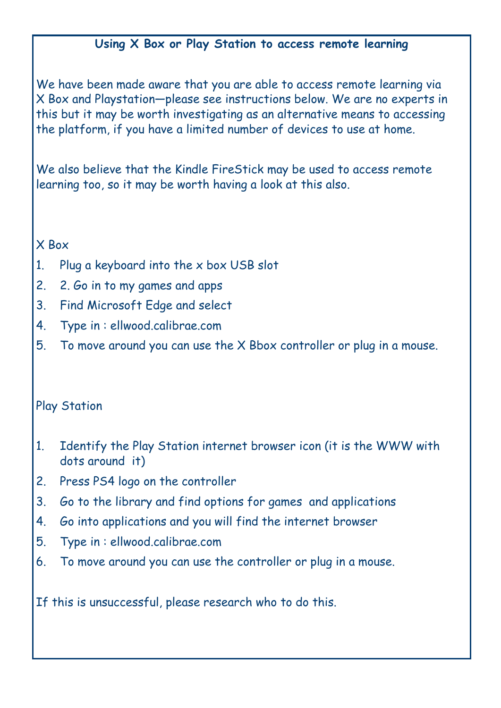# **Using X Box or Play Station to access remote learning**

We have been made aware that you are able to access remote learning via X Box and Playstation—please see instructions below. We are no experts in this but it may be worth investigating as an alternative means to accessing the platform, if you have a limited number of devices to use at home.

We also believe that the Kindle FireStick may be used to access remote learning too, so it may be worth having a look at this also.

#### X Box

- 1. Plug a keyboard into the x box USB slot
- 2. 2. Go in to my games and apps
- 3. Find Microsoft Edge and select
- 4. Type in : ellwood.calibrae.com
- 5. To move around you can use the X Bbox controller or plug in a mouse.

### Play Station

- 1. Identify the Play Station internet browser icon (it is the WWW with dots around it)
- 2. Press PS4 logo on the controller
- 3. Go to the library and find options for games and applications
- 4. Go into applications and you will find the internet browser
- 5. Type in : ellwood.calibrae.com
- 6. To move around you can use the controller or plug in a mouse.

If this is unsuccessful, please research who to do this.